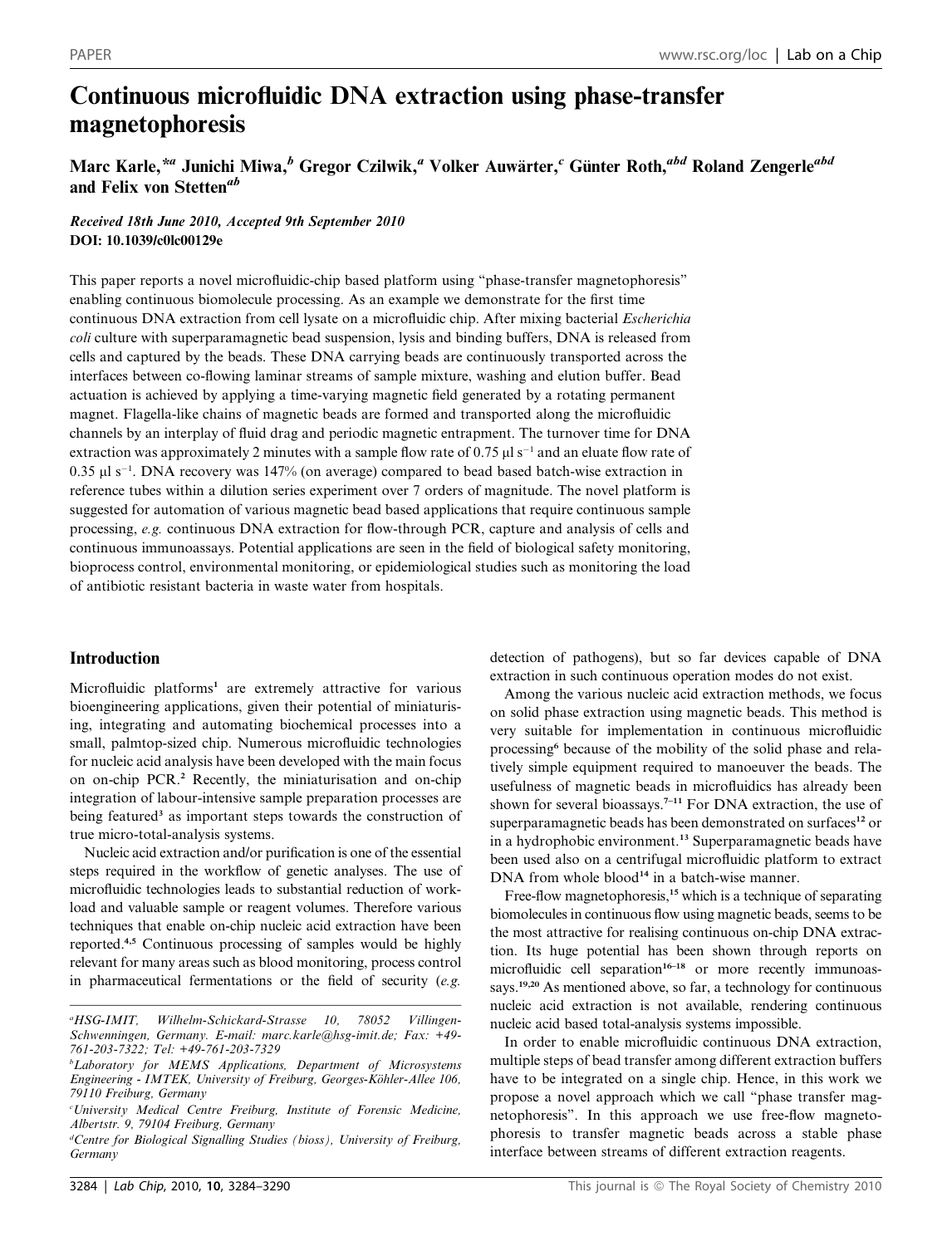# Continuous microfluidic DNA extraction using phase-transfer magnetophoresis

# Marc Karle,\*<sup>a</sup> Junichi Miwa,<sup>b</sup> Gregor Czilwik,<sup>a</sup> Volker Auwärter,<sup>c</sup> Günter Roth,<sup>abd</sup> Roland Zengerle<sup>abd</sup> and Felix von Stetten<sup>ab</sup>

## Received 18th June 2010, Accepted 9th September 2010 DOI: 10.1039/c0lc00129e

This paper reports a novel microfluidic-chip based platform using ''phase-transfer magnetophoresis'' enabling continuous biomolecule processing. As an example we demonstrate for the first time continuous DNA extraction from cell lysate on a microfluidic chip. After mixing bacterial *Escherichia* coli culture with superparamagnetic bead suspension, lysis and binding buffers, DNA is released from cells and captured by the beads. These DNA carrying beads are continuously transported across the interfaces between co-flowing laminar streams of sample mixture, washing and elution buffer. Bead actuation is achieved by applying a time-varying magnetic field generated by a rotating permanent magnet. Flagella-like chains of magnetic beads are formed and transported along the microfluidic channels by an interplay of fluid drag and periodic magnetic entrapment. The turnover time for DNA extraction was approximately 2 minutes with a sample flow rate of 0.75  $\mu$ l s<sup>-1</sup> and an eluate flow rate of  $0.35 \mu$ I s<sup>-1</sup>. DNA recovery was 147% (on average) compared to bead based batch-wise extraction in reference tubes within a dilution series experiment over 7 orders of magnitude. The novel platform is suggested for automation of various magnetic bead based applications that require continuous sample processing, e.g. continuous DNA extraction for flow-through PCR, capture and analysis of cells and continuous immunoassays. Potential applications are seen in the field of biological safety monitoring, bioprocess control, environmental monitoring, or epidemiological studies such as monitoring the load of antibiotic resistant bacteria in waste water from hospitals.

## Introduction

Microfluidic platforms<sup>1</sup> are extremely attractive for various bioengineering applications, given their potential of miniaturising, integrating and automating biochemical processes into a small, palmtop-sized chip. Numerous microfluidic technologies for nucleic acid analysis have been developed with the main focus on on-chip PCR.<sup>2</sup> Recently, the miniaturisation and on-chip integration of labour-intensive sample preparation processes are being featured<sup>3</sup> as important steps towards the construction of true micro-total-analysis systems.

Nucleic acid extraction and/or purification is one of the essential steps required in the workflow of genetic analyses. The use of microfluidic technologies leads to substantial reduction of workload and valuable sample or reagent volumes. Therefore various techniques that enable on-chip nucleic acid extraction have been reported.4,5 Continuous processing of samples would be highly relevant for many areas such as blood monitoring, process control in pharmaceutical fermentations or the field of security (e.g.

detection of pathogens), but so far devices capable of DNA extraction in such continuous operation modes do not exist.

Among the various nucleic acid extraction methods, we focus on solid phase extraction using magnetic beads. This method is very suitable for implementation in continuous microfluidic processing<sup>6</sup> because of the mobility of the solid phase and relatively simple equipment required to manoeuver the beads. The usefulness of magnetic beads in microfluidics has already been shown for several bioassays.<sup> $7-11$ </sup> For DNA extraction, the use of superparamagnetic beads has been demonstrated on surfaces<sup>12</sup> or in a hydrophobic environment.<sup>13</sup> Superparamagnetic beads have been used also on a centrifugal microfluidic platform to extract DNA from whole blood<sup>14</sup> in a batch-wise manner.

Free-flow magnetophoresis,<sup>15</sup> which is a technique of separating biomolecules in continuous flow using magnetic beads, seems to be the most attractive for realising continuous on-chip DNA extraction. Its huge potential has been shown through reports on microfluidic cell separation<sup>16–18</sup> or more recently immunoassays.<sup>19,20</sup> As mentioned above, so far, a technology for continuous nucleic acid extraction is not available, rendering continuous nucleic acid based total-analysis systems impossible.

In order to enable microfluidic continuous DNA extraction, multiple steps of bead transfer among different extraction buffers have to be integrated on a single chip. Hence, in this work we propose a novel approach which we call ''phase transfer magnetophoresis''. In this approach we use free-flow magnetophoresis to transfer magnetic beads across a stable phase interface between streams of different extraction reagents.

 $^{a}HSG$ -IMIT. Wilhelm-Schickard-Strasse 10, 78052 Villingen-Schwenningen, Germany. E-mail: marc.karle@hsg-imit.de; Fax: +49- 761-203-7322; Tel: +49-761-203-7329

<sup>&</sup>lt;sup>b</sup>Laboratory for MEMS Applications, Department of Microsystems Engineering - IMTEK, University of Freiburg, Georges-Köhler-Allee 106, 79110 Freiburg, Germany

c University Medical Centre Freiburg, Institute of Forensic Medicine, Albertstr. 9, 79104 Freiburg, Germany

<sup>&</sup>lt;sup>d</sup>Centre for Biological Signalling Studies (bioss), University of Freiburg, Germany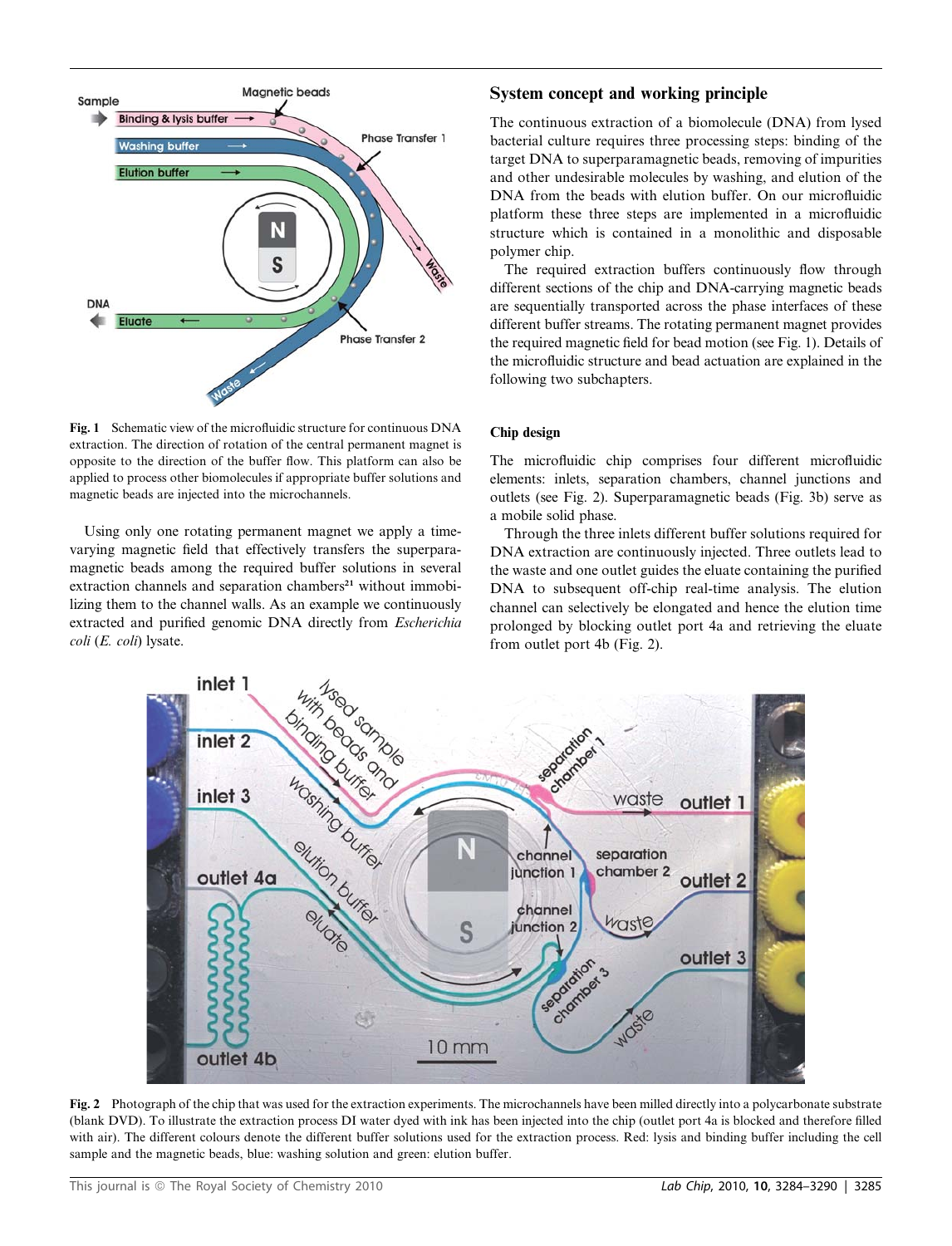

Fig. 1 Schematic view of the microfluidic structure for continuous DNA extraction. The direction of rotation of the central permanent magnet is opposite to the direction of the buffer flow. This platform can also be applied to process other biomolecules if appropriate buffer solutions and magnetic beads are injected into the microchannels.

Using only one rotating permanent magnet we apply a timevarying magnetic field that effectively transfers the superparamagnetic beads among the required buffer solutions in several extraction channels and separation chambers $2<sup>1</sup>$  without immobilizing them to the channel walls. As an example we continuously extracted and purified genomic DNA directly from Escherichia coli (E. coli) lysate.

## System concept and working principle

The continuous extraction of a biomolecule (DNA) from lysed bacterial culture requires three processing steps: binding of the target DNA to superparamagnetic beads, removing of impurities and other undesirable molecules by washing, and elution of the DNA from the beads with elution buffer. On our microfluidic platform these three steps are implemented in a microfluidic structure which is contained in a monolithic and disposable polymer chip.

The required extraction buffers continuously flow through different sections of the chip and DNA-carrying magnetic beads are sequentially transported across the phase interfaces of these different buffer streams. The rotating permanent magnet provides the required magnetic field for bead motion (see Fig. 1). Details of the microfluidic structure and bead actuation are explained in the following two subchapters.

## Chip design

The microfluidic chip comprises four different microfluidic elements: inlets, separation chambers, channel junctions and outlets (see Fig. 2). Superparamagnetic beads (Fig. 3b) serve as a mobile solid phase.

Through the three inlets different buffer solutions required for DNA extraction are continuously injected. Three outlets lead to the waste and one outlet guides the eluate containing the purified DNA to subsequent off-chip real-time analysis. The elution channel can selectively be elongated and hence the elution time prolonged by blocking outlet port 4a and retrieving the eluate from outlet port 4b (Fig. 2).



Fig. 2 Photograph of the chip that was used for the extraction experiments. The microchannels have been milled directly into a polycarbonate substrate (blank DVD). To illustrate the extraction process DI water dyed with ink has been injected into the chip (outlet port 4a is blocked and therefore filled with air). The different colours denote the different buffer solutions used for the extraction process. Red: lysis and binding buffer including the cell sample and the magnetic beads, blue: washing solution and green: elution buffer.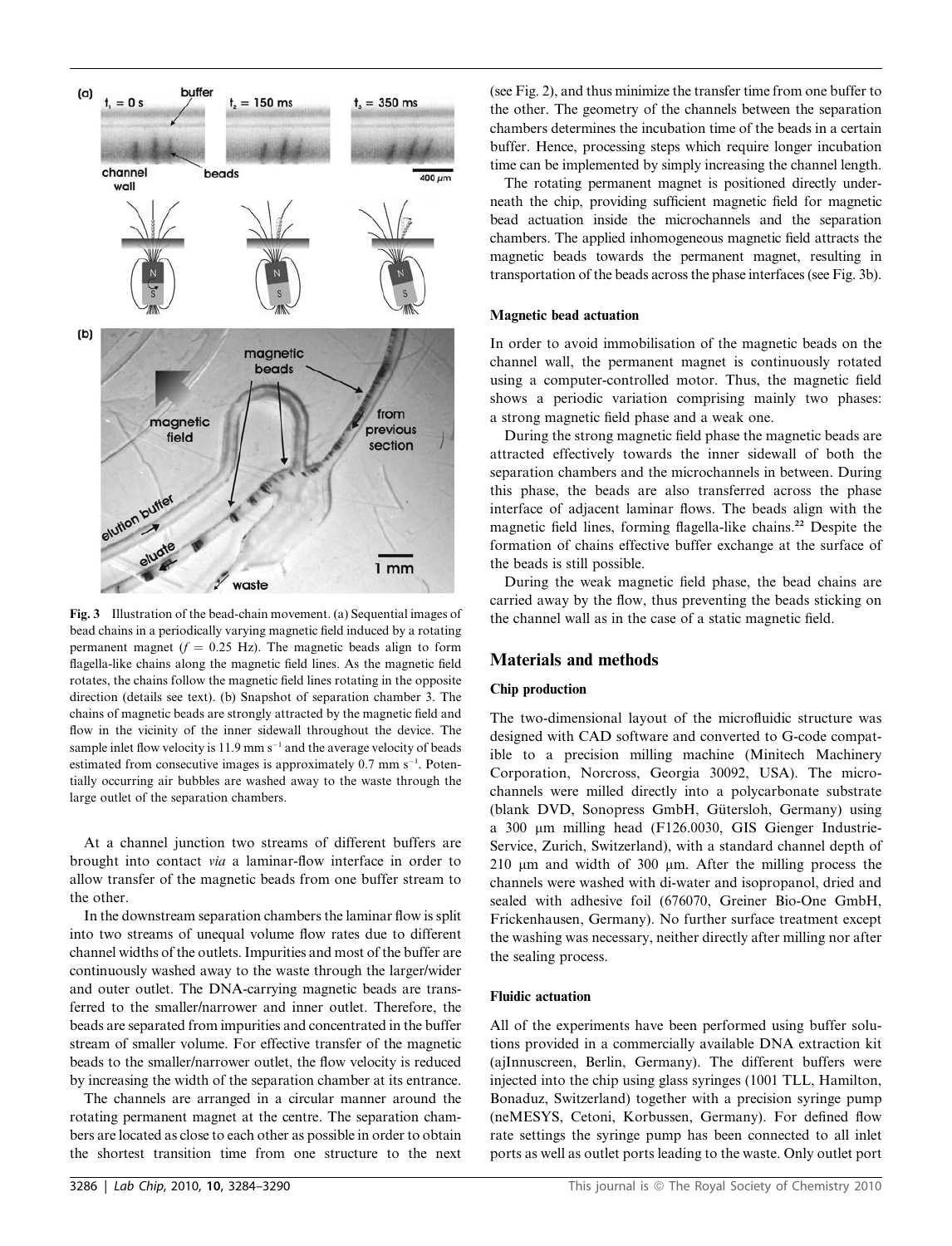

Fig. 3 Illustration of the bead-chain movement. (a) Sequential images of bead chains in a periodically varying magnetic field induced by a rotating permanent magnet ( $f = 0.25$  Hz). The magnetic beads align to form flagella-like chains along the magnetic field lines. As the magnetic field rotates, the chains follow the magnetic field lines rotating in the opposite direction (details see text). (b) Snapshot of separation chamber 3. The chains of magnetic beads are strongly attracted by the magnetic field and flow in the vicinity of the inner sidewall throughout the device. The sample inlet flow velocity is  $11.9 \text{ mm s}^{-1}$  and the average velocity of beads estimated from consecutive images is approximately 0.7 mm s<sup>-1</sup>. Potentially occurring air bubbles are washed away to the waste through the large outlet of the separation chambers.

At a channel junction two streams of different buffers are brought into contact via a laminar-flow interface in order to allow transfer of the magnetic beads from one buffer stream to the other.

In the downstream separation chambers the laminar flow is split into two streams of unequal volume flow rates due to different channel widths of the outlets. Impurities and most of the buffer are continuously washed away to the waste through the larger/wider and outer outlet. The DNA-carrying magnetic beads are transferred to the smaller/narrower and inner outlet. Therefore, the beads are separated from impurities and concentrated in the buffer stream of smaller volume. For effective transfer of the magnetic beads to the smaller/narrower outlet, the flow velocity is reduced by increasing the width of the separation chamber at its entrance.

The channels are arranged in a circular manner around the rotating permanent magnet at the centre. The separation chambers are located as close to each other as possible in order to obtain the shortest transition time from one structure to the next

(see Fig. 2), and thus minimize the transfer time from one buffer to the other. The geometry of the channels between the separation chambers determines the incubation time of the beads in a certain buffer. Hence, processing steps which require longer incubation time can be implemented by simply increasing the channel length.

The rotating permanent magnet is positioned directly underneath the chip, providing sufficient magnetic field for magnetic bead actuation inside the microchannels and the separation chambers. The applied inhomogeneous magnetic field attracts the magnetic beads towards the permanent magnet, resulting in transportation of the beads across the phase interfaces (see Fig. 3b).

#### Magnetic bead actuation

In order to avoid immobilisation of the magnetic beads on the channel wall, the permanent magnet is continuously rotated using a computer-controlled motor. Thus, the magnetic field shows a periodic variation comprising mainly two phases: a strong magnetic field phase and a weak one.

During the strong magnetic field phase the magnetic beads are attracted effectively towards the inner sidewall of both the separation chambers and the microchannels in between. During this phase, the beads are also transferred across the phase interface of adjacent laminar flows. The beads align with the magnetic field lines, forming flagella-like chains.<sup>22</sup> Despite the formation of chains effective buffer exchange at the surface of the beads is still possible.

During the weak magnetic field phase, the bead chains are carried away by the flow, thus preventing the beads sticking on the channel wall as in the case of a static magnetic field.

#### Materials and methods

#### Chip production

The two-dimensional layout of the microfluidic structure was designed with CAD software and converted to G-code compatible to a precision milling machine (Minitech Machinery Corporation, Norcross, Georgia 30092, USA). The microchannels were milled directly into a polycarbonate substrate (blank DVD, Sonopress GmbH, Gütersloh, Germany) using a 300 mm milling head (F126.0030, GIS Gienger Industrie-Service, Zurich, Switzerland), with a standard channel depth of  $210 \mu m$  and width of 300  $\mu m$ . After the milling process the channels were washed with di-water and isopropanol, dried and sealed with adhesive foil (676070, Greiner Bio-One GmbH, Frickenhausen, Germany). No further surface treatment except the washing was necessary, neither directly after milling nor after the sealing process.

#### Fluidic actuation

All of the experiments have been performed using buffer solutions provided in a commercially available DNA extraction kit (ajInnuscreen, Berlin, Germany). The different buffers were injected into the chip using glass syringes (1001 TLL, Hamilton, Bonaduz, Switzerland) together with a precision syringe pump (neMESYS, Cetoni, Korbussen, Germany). For defined flow rate settings the syringe pump has been connected to all inlet ports as well as outlet ports leading to the waste. Only outlet port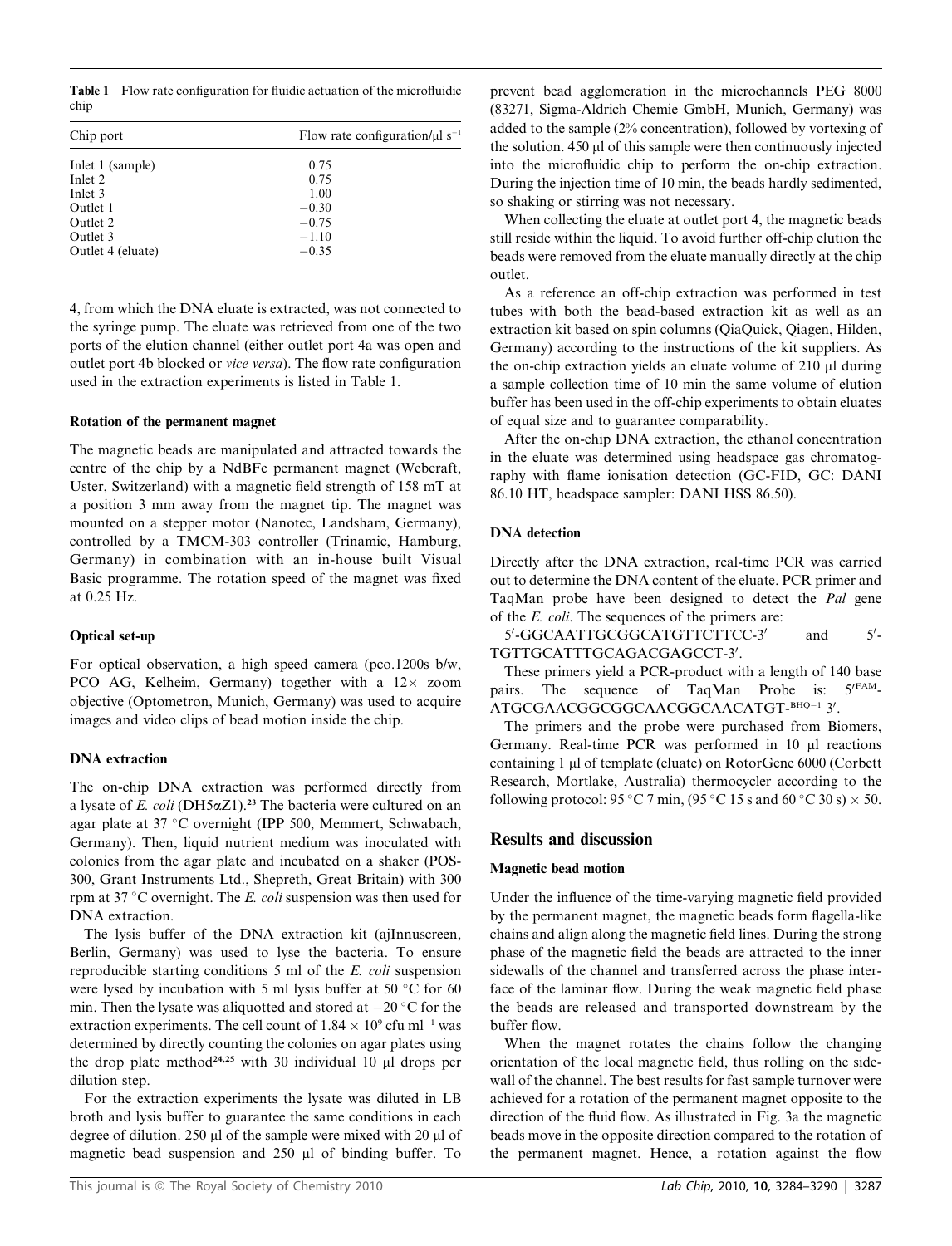Table 1 Flow rate configuration for fluidic actuation of the microfluidic chip

| Chip port         | Flow rate configuration/ $\mu$ l s <sup>-1</sup> |  |  |
|-------------------|--------------------------------------------------|--|--|
| Inlet 1 (sample)  | 0.75                                             |  |  |
| Inlet 2           | 0.75                                             |  |  |
| Inlet 3           | 1.00                                             |  |  |
| Outlet 1          | $-0.30$                                          |  |  |
| Outlet 2          | $-0.75$                                          |  |  |
| Outlet 3          | $-1.10$                                          |  |  |
| Outlet 4 (eluate) | $-0.35$                                          |  |  |

4, from which the DNA eluate is extracted, was not connected to the syringe pump. The eluate was retrieved from one of the two ports of the elution channel (either outlet port 4a was open and outlet port 4b blocked or vice versa). The flow rate configuration used in the extraction experiments is listed in Table 1.

## Rotation of the permanent magnet

The magnetic beads are manipulated and attracted towards the centre of the chip by a NdBFe permanent magnet (Webcraft, Uster, Switzerland) with a magnetic field strength of 158 mT at a position 3 mm away from the magnet tip. The magnet was mounted on a stepper motor (Nanotec, Landsham, Germany), controlled by a TMCM-303 controller (Trinamic, Hamburg, Germany) in combination with an in-house built Visual Basic programme. The rotation speed of the magnet was fixed at 0.25 Hz.

## Optical set-up

For optical observation, a high speed camera (pco.1200s b/w, PCO AG, Kelheim, Germany) together with a  $12 \times$  zoom objective (Optometron, Munich, Germany) was used to acquire images and video clips of bead motion inside the chip.

## DNA extraction

The on-chip DNA extraction was performed directly from a lysate of E. coli (DH5 $\alpha$ Z1).<sup>23</sup> The bacteria were cultured on an agar plate at 37 °C overnight (IPP 500, Memmert, Schwabach, Germany). Then, liquid nutrient medium was inoculated with colonies from the agar plate and incubated on a shaker (POS-300, Grant Instruments Ltd., Shepreth, Great Britain) with 300 rpm at 37 °C overnight. The E. coli suspension was then used for DNA extraction.

The lysis buffer of the DNA extraction kit (ajInnuscreen, Berlin, Germany) was used to lyse the bacteria. To ensure reproducible starting conditions 5 ml of the E. coli suspension were lysed by incubation with 5 ml lysis buffer at 50  $\degree$ C for 60 min. Then the lysate was aliquotted and stored at  $-20$  °C for the extraction experiments. The cell count of  $1.84 \times 10^9$  cfu ml<sup>-1</sup> was determined by directly counting the colonies on agar plates using the drop plate method<sup>24,25</sup> with 30 individual 10  $\mu$ l drops per dilution step.

For the extraction experiments the lysate was diluted in LB broth and lysis buffer to guarantee the same conditions in each degree of dilution. 250  $\mu$ l of the sample were mixed with 20  $\mu$ l of magnetic bead suspension and 250 µl of binding buffer. To

prevent bead agglomeration in the microchannels PEG 8000 (83271, Sigma-Aldrich Chemie GmbH, Munich, Germany) was added to the sample (2% concentration), followed by vortexing of the solution.  $450 \mu$  of this sample were then continuously injected into the microfluidic chip to perform the on-chip extraction. During the injection time of 10 min, the beads hardly sedimented, so shaking or stirring was not necessary.

When collecting the eluate at outlet port 4, the magnetic beads still reside within the liquid. To avoid further off-chip elution the beads were removed from the eluate manually directly at the chip outlet.

As a reference an off-chip extraction was performed in test tubes with both the bead-based extraction kit as well as an extraction kit based on spin columns (QiaQuick, Qiagen, Hilden, Germany) according to the instructions of the kit suppliers. As the on-chip extraction yields an eluate volume of  $210 \mu l$  during a sample collection time of 10 min the same volume of elution buffer has been used in the off-chip experiments to obtain eluates of equal size and to guarantee comparability.

After the on-chip DNA extraction, the ethanol concentration in the eluate was determined using headspace gas chromatography with flame ionisation detection (GC-FID, GC: DANI 86.10 HT, headspace sampler: DANI HSS 86.50).

## DNA detection

Directly after the DNA extraction, real-time PCR was carried out to determine the DNA content of the eluate. PCR primer and TaqMan probe have been designed to detect the Pal gene of the E. coli. The sequences of the primers are:

5'-GGCAATTGCGGCATGTTCTTCC-3' and 5'  $5'$ -TGTTGCATTTGCAGACGAGCCT-3'.

These primers yield a PCR-product with a length of 140 base pairs. The sequence of TaqMan Probe is:  $5^{\prime \text{FAM}}$ -ATGCGAACGGCGGCAACGGCAACATGT-BHQ-1 3'.

The primers and the probe were purchased from Biomers, Germany. Real-time PCR was performed in 10 µl reactions containing 1 µl of template (eluate) on RotorGene 6000 (Corbett Research, Mortlake, Australia) thermocycler according to the following protocol: 95 °C 7 min, (95 °C 15 s and 60 °C 30 s)  $\times$  50.

## Results and discussion

## Magnetic bead motion

Under the influence of the time-varying magnetic field provided by the permanent magnet, the magnetic beads form flagella-like chains and align along the magnetic field lines. During the strong phase of the magnetic field the beads are attracted to the inner sidewalls of the channel and transferred across the phase interface of the laminar flow. During the weak magnetic field phase the beads are released and transported downstream by the buffer flow.

When the magnet rotates the chains follow the changing orientation of the local magnetic field, thus rolling on the sidewall of the channel. The best results for fast sample turnover were achieved for a rotation of the permanent magnet opposite to the direction of the fluid flow. As illustrated in Fig. 3a the magnetic beads move in the opposite direction compared to the rotation of the permanent magnet. Hence, a rotation against the flow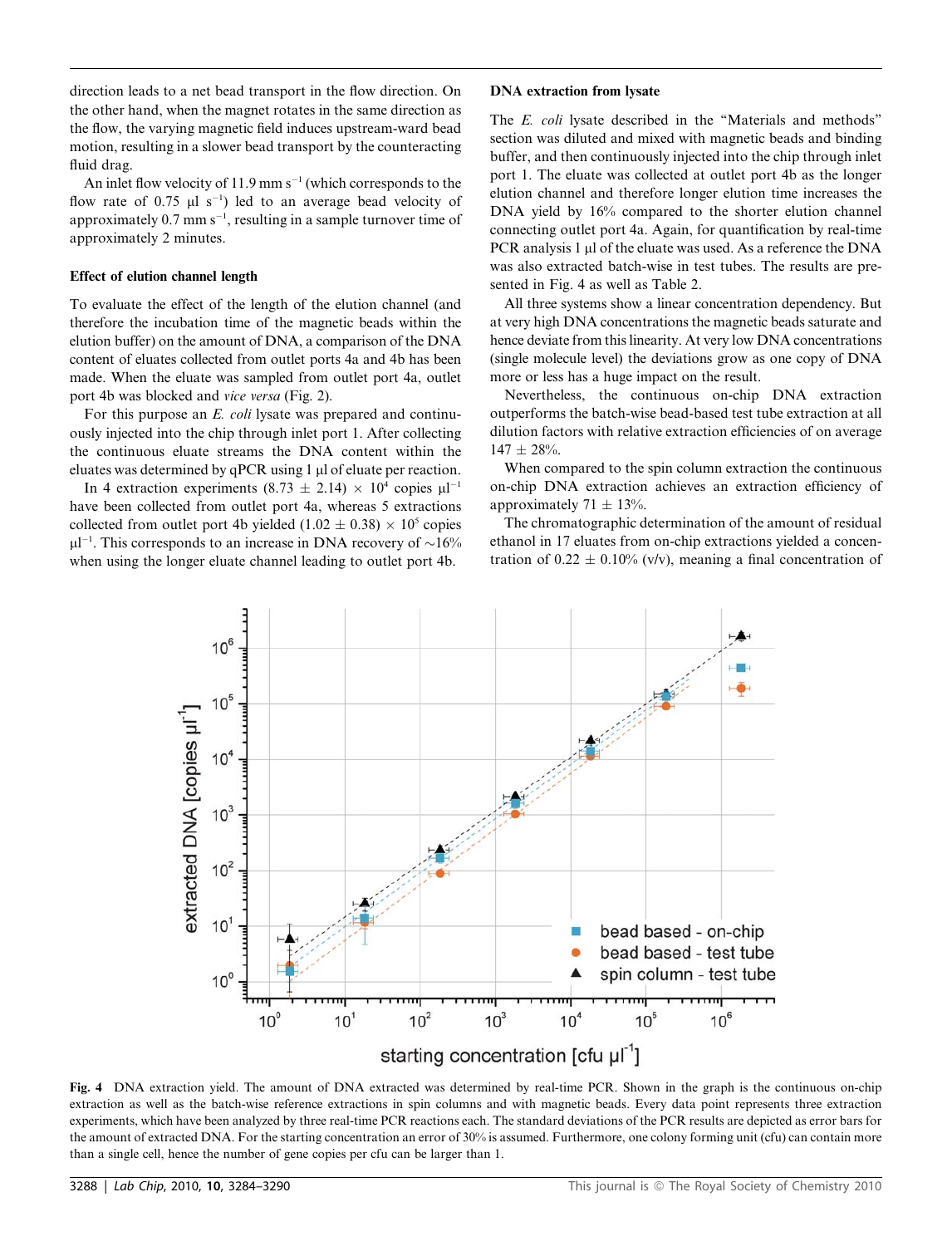direction leads to a net bead transport in the flow direction. On the other hand, when the magnet rotates in the same direction as the flow, the varying magnetic field induces upstream-ward bead motion, resulting in a slower bead transport by the counteracting fluid drag.

An inlet flow velocity of  $11.9 \text{ mm s}^{-1}$  (which corresponds to the flow rate of  $0.75 \text{ }\mu\text{l s}^{-1}$ ) led to an average bead velocity of approximately  $0.7$  mm s<sup>-1</sup>, resulting in a sample turnover time of approximately 2 minutes.

### Effect of elution channel length

To evaluate the effect of the length of the elution channel (and therefore the incubation time of the magnetic beads within the elution buffer) on the amount of DNA, a comparison of the DNA content of eluates collected from outlet ports 4a and 4b has been made. When the eluate was sampled from outlet port 4a, outlet port 4b was blocked and vice versa (Fig. 2).

For this purpose an *E. coli* lysate was prepared and continuously injected into the chip through inlet port 1. After collecting the continuous eluate streams the DNA content within the eluates was determined by qPCR using 1 µl of eluate per reaction.

In 4 extraction experiments (8.73  $\pm$  2.14)  $\times$  10<sup>4</sup> copies  $\mu$ l<sup>-1</sup> have been collected from outlet port 4a, whereas 5 extractions collected from outlet port 4b yielded (1.02  $\pm$  0.38)  $\times$  10<sup>5</sup> copies  $\mu$ l<sup>-1</sup>. This corresponds to an increase in DNA recovery of  $\sim$ 16% when using the longer eluate channel leading to outlet port 4b.

#### DNA extraction from lysate

The E. coli lysate described in the ''Materials and methods'' section was diluted and mixed with magnetic beads and binding buffer, and then continuously injected into the chip through inlet port 1. The eluate was collected at outlet port 4b as the longer elution channel and therefore longer elution time increases the DNA yield by 16% compared to the shorter elution channel connecting outlet port 4a. Again, for quantification by real-time PCR analysis 1 µl of the eluate was used. As a reference the DNA was also extracted batch-wise in test tubes. The results are presented in Fig. 4 as well as Table 2.

All three systems show a linear concentration dependency. But at very high DNA concentrations the magnetic beads saturate and hence deviate from this linearity. At very low DNA concentrations (single molecule level) the deviations grow as one copy of DNA more or less has a huge impact on the result.

Nevertheless, the continuous on-chip DNA extraction outperforms the batch-wise bead-based test tube extraction at all dilution factors with relative extraction efficiencies of on average  $147 + 28\%$ 

When compared to the spin column extraction the continuous on-chip DNA extraction achieves an extraction efficiency of approximately 71  $\pm$  13%.

The chromatographic determination of the amount of residual ethanol in 17 eluates from on-chip extractions yielded a concentration of  $0.22 \pm 0.10\%$  (v/v), meaning a final concentration of



Fig. 4 DNA extraction yield. The amount of DNA extracted was determined by real-time PCR. Shown in the graph is the continuous on-chip extraction as well as the batch-wise reference extractions in spin columns and with magnetic beads. Every data point represents three extraction experiments, which have been analyzed by three real-time PCR reactions each. The standard deviations of the PCR results are depicted as error bars for the amount of extracted DNA. For the starting concentration an error of 30% is assumed. Furthermore, one colony forming unit (cfu) can contain more than a single cell, hence the number of gene copies per cfu can be larger than 1.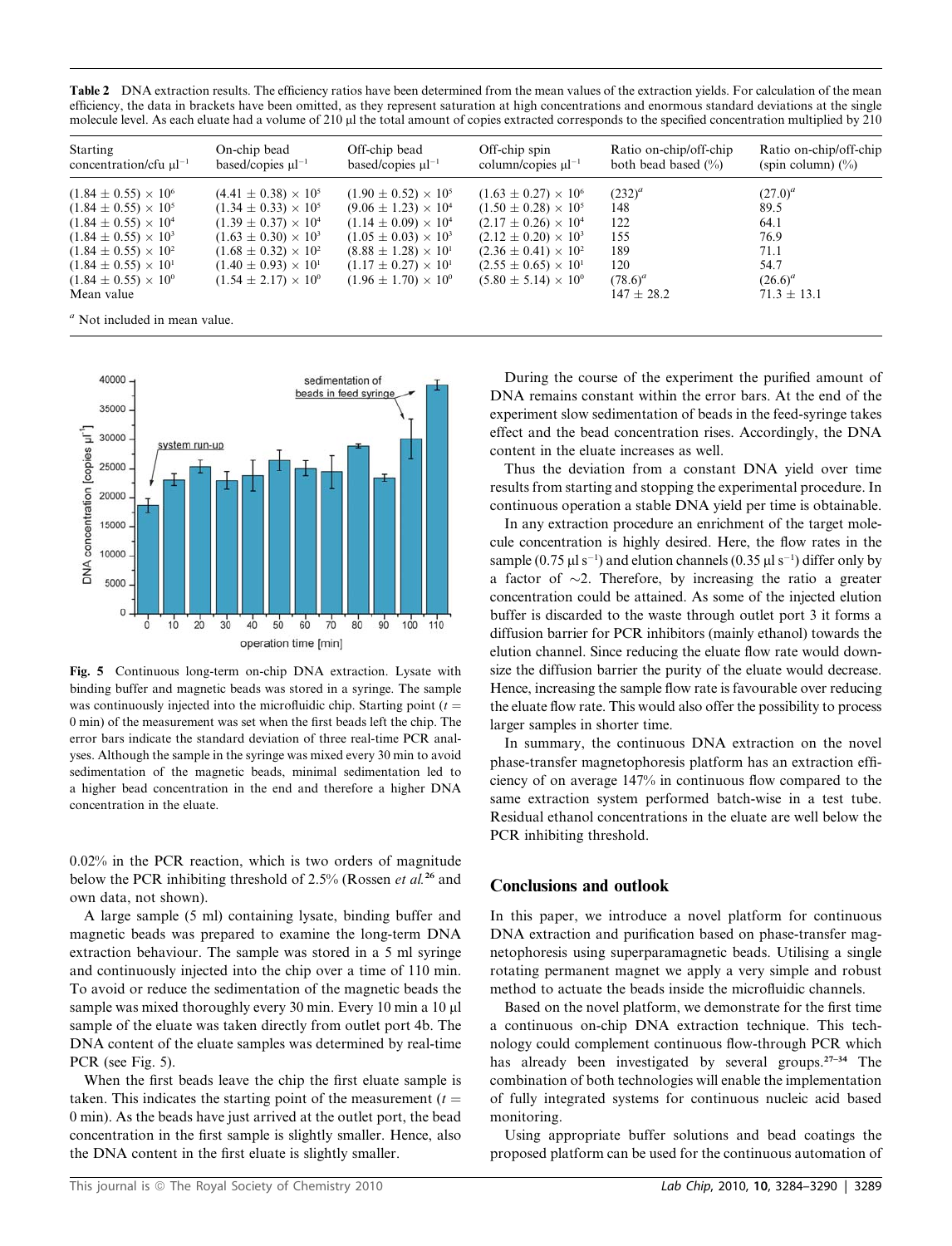Table 2 DNA extraction results. The efficiency ratios have been determined from the mean values of the extraction yields. For calculation of the mean efficiency, the data in brackets have been omitted, as they represent saturation at high concentrations and enormous standard deviations at the single molecule level. As each eluate had a volume of 210  $\mu$  the total amount of copies extracted corresponds to the specified concentration multiplied by 210

| Starting<br>concentration/cfu $\mu$ l <sup>-1</sup> | On-chip bead<br>based/copies $\mu$ <sup>-1</sup> | Off-chip bead<br>based/copies $\mu$ l <sup>-1</sup> | Off-chip spin<br>column/copies $\mu$ l <sup>-1</sup> | Ratio on-chip/off-chip<br>both bead based $(\% )$ | Ratio on-chip/off-chip<br>(spin column) $(\%)$ |
|-----------------------------------------------------|--------------------------------------------------|-----------------------------------------------------|------------------------------------------------------|---------------------------------------------------|------------------------------------------------|
| $(1.84 \pm 0.55) \times 10^{6}$                     | $(4.41 \pm 0.38) \times 10^5$                    | $(1.90 \pm 0.52) \times 10^5$                       | $(1.63 \pm 0.27) \times 10^6$                        | $(232)^{a}$                                       | $(27.0)^{a}$                                   |
| $(1.84 \pm 0.55) \times 10^5$                       | $(1.34 \pm 0.33) \times 10^5$                    | $(9.06 \pm 1.23) \times 10^{4}$                     | $(1.50 \pm 0.28) \times 10^5$                        | 148                                               | 89.5                                           |
| $(1.84 \pm 0.55) \times 10^4$                       | $(1.39 \pm 0.37) \times 10^4$                    | $(1.14 \pm 0.09) \times 10^4$                       | $(2.17 \pm 0.26) \times 10^4$                        | 122                                               | 64.1                                           |
| $(1.84 \pm 0.55) \times 10^3$                       | $(1.63 \pm 0.30) \times 10^3$                    | $(1.05 \pm 0.03) \times 10^3$                       | $(2.12 \pm 0.20) \times 10^3$                        | 155                                               | 76.9                                           |
| $(1.84 \pm 0.55) \times 10^{2}$                     | $(1.68 \pm 0.32) \times 10^{2}$                  | $(8.88 \pm 1.28) \times 10^{1}$                     | $(2.36 \pm 0.41) \times 10^{2}$                      | 189                                               | 71.1                                           |
| $(1.84 \pm 0.55) \times 10^{1}$                     | $(1.40 \pm 0.93) \times 10^{1}$                  | $(1.17 \pm 0.27) \times 10^{1}$                     | $(2.55 \pm 0.65) \times 10^{1}$                      | 120                                               | 54.7                                           |
| $(1.84 \pm 0.55) \times 10^{6}$                     | $(1.54 \pm 2.17) \times 10^{6}$                  | $(1.96 \pm 1.70) \times 10^{6}$                     | $(5.80 \pm 5.14) \times 10^{0}$                      | $(78.6)^{a}$                                      | $(26.6)^{a}$                                   |
| Mean value                                          |                                                  |                                                     |                                                      | $147 \pm 28.2$                                    | $71.3 \pm 13.1$                                |

 $a<sup>a</sup>$  Not included in mean value.



Fig. 5 Continuous long-term on-chip DNA extraction. Lysate with binding buffer and magnetic beads was stored in a syringe. The sample was continuously injected into the microfluidic chip. Starting point  $(t =$ 0 min) of the measurement was set when the first beads left the chip. The error bars indicate the standard deviation of three real-time PCR analyses. Although the sample in the syringe was mixed every 30 min to avoid sedimentation of the magnetic beads, minimal sedimentation led to a higher bead concentration in the end and therefore a higher DNA concentration in the eluate.

0.02% in the PCR reaction, which is two orders of magnitude below the PCR inhibiting threshold of 2.5% (Rossen et al.<sup>26</sup> and own data, not shown).

A large sample (5 ml) containing lysate, binding buffer and magnetic beads was prepared to examine the long-term DNA extraction behaviour. The sample was stored in a 5 ml syringe and continuously injected into the chip over a time of 110 min. To avoid or reduce the sedimentation of the magnetic beads the sample was mixed thoroughly every 30 min. Every 10 min a 10 µl sample of the eluate was taken directly from outlet port 4b. The DNA content of the eluate samples was determined by real-time PCR (see Fig. 5).

When the first beads leave the chip the first eluate sample is taken. This indicates the starting point of the measurement  $(t =$ 0 min). As the beads have just arrived at the outlet port, the bead concentration in the first sample is slightly smaller. Hence, also the DNA content in the first eluate is slightly smaller.

During the course of the experiment the purified amount of DNA remains constant within the error bars. At the end of the experiment slow sedimentation of beads in the feed-syringe takes effect and the bead concentration rises. Accordingly, the DNA content in the eluate increases as well.

Thus the deviation from a constant DNA yield over time results from starting and stopping the experimental procedure. In continuous operation a stable DNA yield per time is obtainable.

In any extraction procedure an enrichment of the target molecule concentration is highly desired. Here, the flow rates in the sample (0.75  $\mu$ l s<sup>-1</sup>) and elution channels (0.35  $\mu$ l s<sup>-1</sup>) differ only by a factor of  $\sim$ 2. Therefore, by increasing the ratio a greater concentration could be attained. As some of the injected elution buffer is discarded to the waste through outlet port 3 it forms a diffusion barrier for PCR inhibitors (mainly ethanol) towards the elution channel. Since reducing the eluate flow rate would downsize the diffusion barrier the purity of the eluate would decrease. Hence, increasing the sample flow rate is favourable over reducing the eluate flow rate. This would also offer the possibility to process larger samples in shorter time.

In summary, the continuous DNA extraction on the novel phase-transfer magnetophoresis platform has an extraction efficiency of on average 147% in continuous flow compared to the same extraction system performed batch-wise in a test tube. Residual ethanol concentrations in the eluate are well below the PCR inhibiting threshold.

## Conclusions and outlook

In this paper, we introduce a novel platform for continuous DNA extraction and purification based on phase-transfer magnetophoresis using superparamagnetic beads. Utilising a single rotating permanent magnet we apply a very simple and robust method to actuate the beads inside the microfluidic channels.

Based on the novel platform, we demonstrate for the first time a continuous on-chip DNA extraction technique. This technology could complement continuous flow-through PCR which has already been investigated by several groups.27–34 The combination of both technologies will enable the implementation of fully integrated systems for continuous nucleic acid based monitoring.

Using appropriate buffer solutions and bead coatings the proposed platform can be used for the continuous automation of